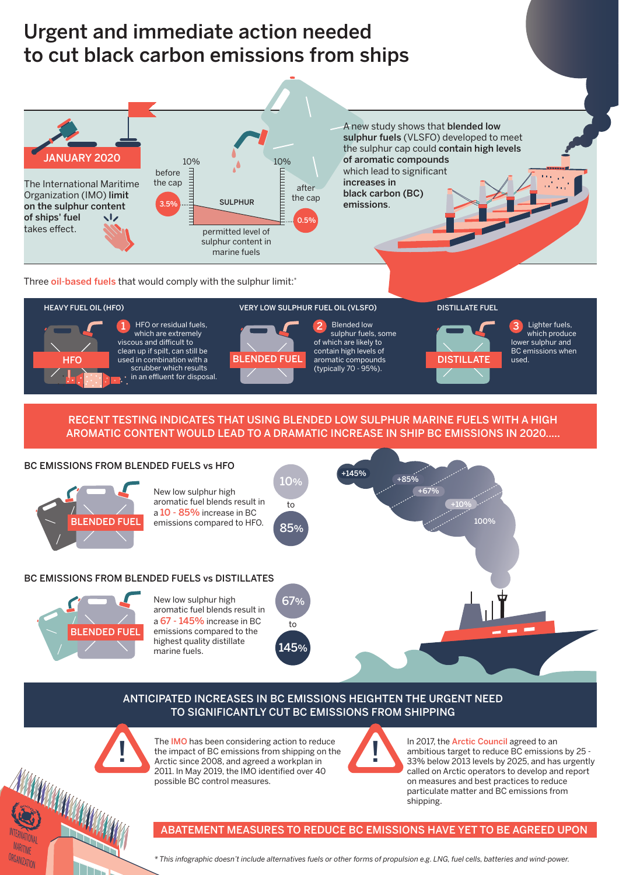## Urgent and immediate action needed to cut black carbon emissions from ships



Three oil-based fuels that would comply with the sulphur limit:\*



## RECENT TESTING INDICATES THAT USING BLENDED LOW SULPHUR MARINE FUELS WITH A HIGH AROMATIC CONTENT WOULD LEAD TO A DRAMATIC INCREASE IN SHIP BC EMISSIONS IN 2020.....



## ANTICIPATED INCREASES IN BC EMISSIONS HEIGHTEN THE URGENT NEED TO SIGNIFICANTLY CUT BC EMISSIONS FROM SHIPPING



**INTERNATIONAL** MARITIME ORGANIZATION

**RANGE DE LA CARDINAL REGIONAL DE LA CARDINAL DE LA CARDINAL DE LA CARDINAL DE LA CARDINAL DE LA CARDINAL DE LA** 

The IMO has been considering action to reduce<br>the impact of BC emissions from shipping on the<br>Arctic since 2008, and agreed a workplan in The IMO has been considering action to reduce Arctic since 2008, and agreed a workplan in 2011. In May 2019, the IMO identified over 40 possible BC control measures.



In 2017, the **Arctic Council** agreed to an ambitious target to reduce BC emissions by 25 - 33% below 2013 levels by 2025, and has urgently called on Arctic operators to develop and report on measures and best practices to reduce particulate matter and BC emissions from shipping.

ABATEMENT MEASURES TO REDUCE BC EMISSIONS HAVE YET TO BE AGREED UPON

*\* This infographic doesn't include alternatives fuels or other forms of propulsion e.g. LNG, fuel cells, batteries and wind-power.*